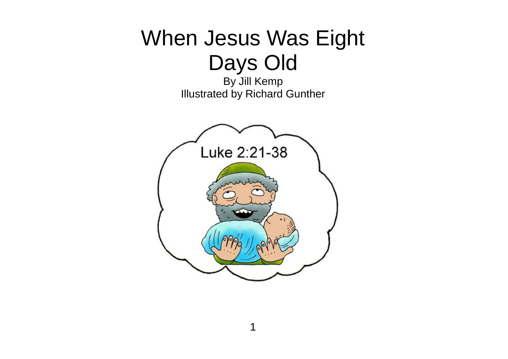## When Jesus Was Eight Days Old

By Jill Kemp Illustrated by Richard Gunther

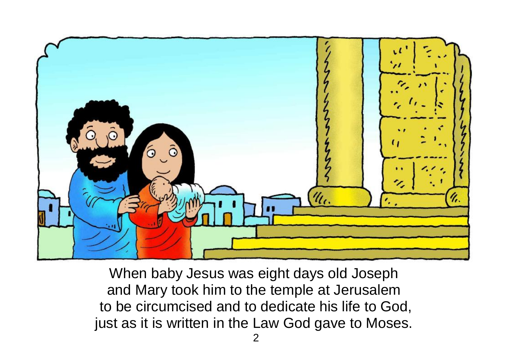

When baby Jesus was eight days old Joseph and Mary took him to the temple at Jerusalem to be circumcised and to dedicate his life to God, just as it is written in the Law God gave to Moses.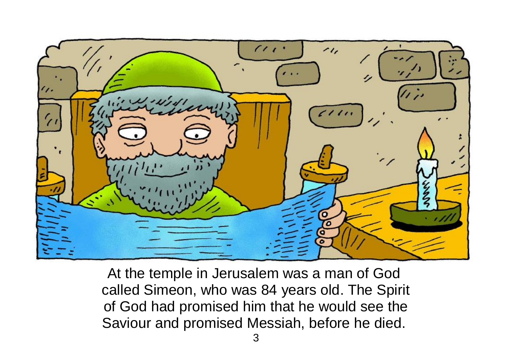

At the temple in Jerusalem was a man of God called Simeon, who was 84 years old. The Spirit of God had promised him that he would see the Saviour and promised Messiah, before he died.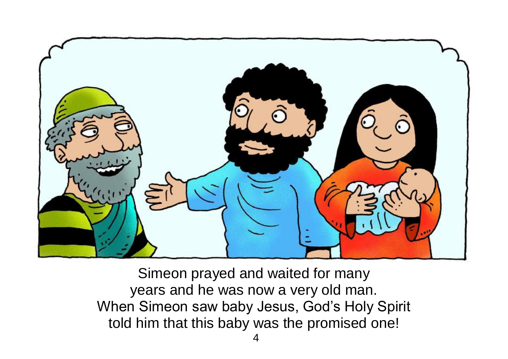

Simeon prayed and waited for many years and he was now a very old man. When Simeon saw baby Jesus, God's Holy Spirit told him that this baby was the promised one!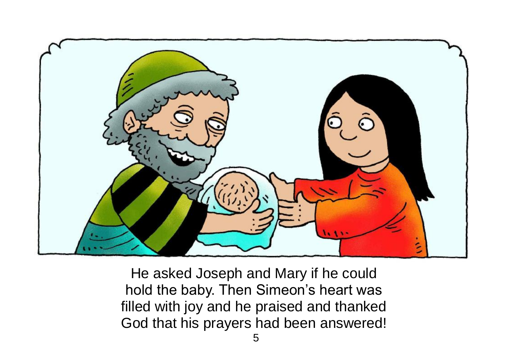

He asked Joseph and Mary if he could hold the baby. Then Simeon's heart was filled with joy and he praised and thanked God that his prayers had been answered!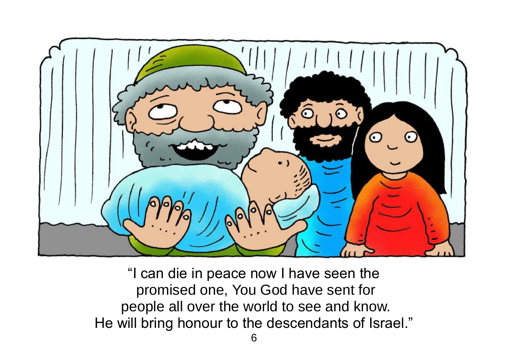

"I can die in peace now I have seen the promised one, You God have sent for people all over the world to see and know. He will bring honour to the descendants of Israel."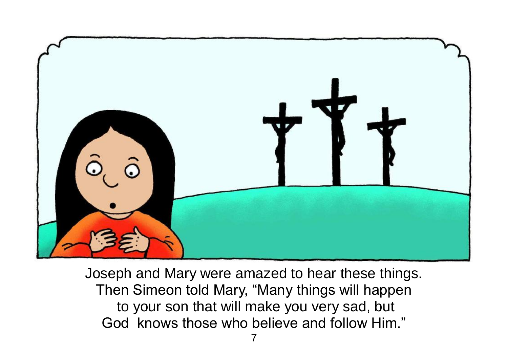

Joseph and Mary were amazed to hear these things. Then Simeon told Mary, "Many things will happen to your son that will make you very sad, but God knows those who believe and follow Him."